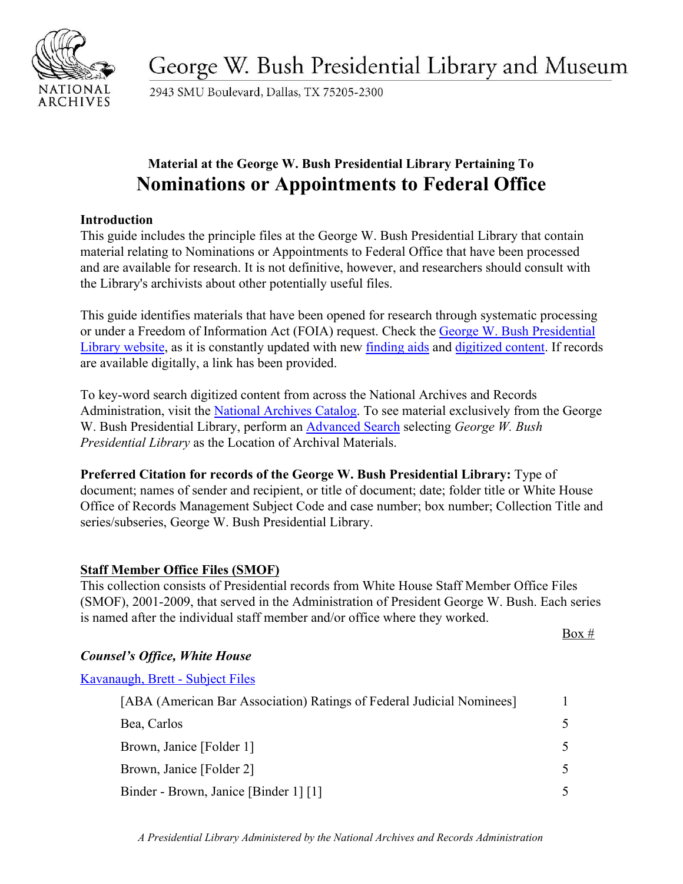

George W. Bush Presidential Library and Museum

2943 SMU Boulevard, Dallas, TX 75205-2300

# **Material at the George W. Bush Presidential Library Pertaining To Nominations or Appointments to Federal Office**

#### **Introduction**

This guide includes the principle files at the George W. Bush Presidential Library that contain material relating to Nominations or Appointments to Federal Office that have been processed and are available for research. It is not definitive, however, and researchers should consult with the Library's archivists about other potentially useful files.

This guide identifies materials that have been opened for research through systematic processing or under a Freedom of Information Act (FOIA) request. Check the [George W. Bush Presidential](https://www.georgewbushlibrary.gov/) [Library website,](https://www.georgewbushlibrary.gov/) as it is constantly updated with new [finding aids](https://www.georgewbushlibrary.gov/research/finding-aids) and [digitized content.](https://www.georgewbushlibrary.gov/research/records-search) If records are available digitally, a link has been provided.

To key-word search digitized content from across the National Archives and Records Administration, visit the [National Archives Catalog.](https://catalog.archives.gov/) To see material exclusively from the George W. Bush Presidential Library, perform an [Advanced Search](https://catalog.archives.gov/advancedsearch) selecting *George W. Bush Presidential Library* as the Location of Archival Materials.

**Preferred Citation for records of the George W. Bush Presidential Library:** Type of document; names of sender and recipient, or title of document; date; folder title or White House Office of Records Management Subject Code and case number; box number; Collection Title and series/subseries, George W. Bush Presidential Library.

#### **Staff Member Office Files (SMOF)**

This collection consists of Presidential records from White House Staff Member Office Files (SMOF), 2001-2009, that served in the Administration of President George W. Bush. Each series is named after the individual staff member and/or office where they worked.

 $Box #$ 

# *Counsel's Office, White House*

[Kavanaugh, Brett - Subject Files](https://www.georgewbushlibrary.gov/research/finding-aids/records-brett-m-kavanaugh/white-house-counsels-office-subject-files)

[ABA (American Bar Association) Ratings of Federal Judicial Nominees] 1 Bea, Carlos 5 Brown, Janice [Folder 1] 5 Brown, Janice [Folder 2] 5 Binder - Brown, Janice [Binder 1] [1] 5

*A Presidential Library Administered by the National Archives and Records Administration*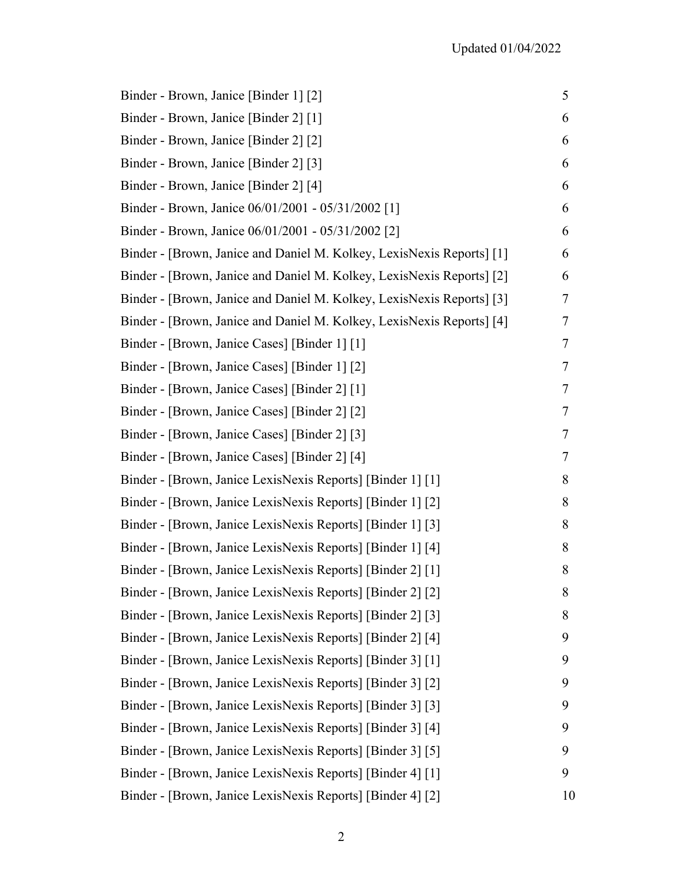| Binder - Brown, Janice [Binder 1] [2]                                 | 5  |
|-----------------------------------------------------------------------|----|
| Binder - Brown, Janice [Binder 2] [1]                                 | 6  |
| Binder - Brown, Janice [Binder 2] [2]                                 | 6  |
| Binder - Brown, Janice [Binder 2] [3]                                 | 6  |
| Binder - Brown, Janice [Binder 2] [4]                                 | 6  |
| Binder - Brown, Janice 06/01/2001 - 05/31/2002 [1]                    | 6  |
| Binder - Brown, Janice 06/01/2001 - 05/31/2002 [2]                    | 6  |
| Binder - [Brown, Janice and Daniel M. Kolkey, LexisNexis Reports] [1] | 6  |
| Binder - [Brown, Janice and Daniel M. Kolkey, LexisNexis Reports] [2] | 6  |
| Binder - [Brown, Janice and Daniel M. Kolkey, LexisNexis Reports] [3] | 7  |
| Binder - [Brown, Janice and Daniel M. Kolkey, LexisNexis Reports] [4] | 7  |
| Binder - [Brown, Janice Cases] [Binder 1] [1]                         | 7  |
| Binder - [Brown, Janice Cases] [Binder 1] [2]                         | 7  |
| Binder - [Brown, Janice Cases] [Binder 2] [1]                         | 7  |
| Binder - [Brown, Janice Cases] [Binder 2] [2]                         | 7  |
| Binder - [Brown, Janice Cases] [Binder 2] [3]                         | 7  |
| Binder - [Brown, Janice Cases] [Binder 2] [4]                         | 7  |
| Binder - [Brown, Janice LexisNexis Reports] [Binder 1] [1]            | 8  |
| Binder - [Brown, Janice LexisNexis Reports] [Binder 1] [2]            | 8  |
| Binder - [Brown, Janice LexisNexis Reports] [Binder 1] [3]            | 8  |
| Binder - [Brown, Janice LexisNexis Reports] [Binder 1] [4]            | 8  |
| Binder - [Brown, Janice LexisNexis Reports] [Binder 2] [1]            | 8  |
| Binder - [Brown, Janice LexisNexis Reports] [Binder 2] [2]            | 8  |
| Binder - [Brown, Janice LexisNexis Reports] [Binder 2] [3]            | 8  |
| Binder - [Brown, Janice LexisNexis Reports] [Binder 2] [4]            | 9  |
| Binder - [Brown, Janice LexisNexis Reports] [Binder 3] [1]            | 9  |
| Binder - [Brown, Janice LexisNexis Reports] [Binder 3] [2]            | 9  |
| Binder - [Brown, Janice LexisNexis Reports] [Binder 3] [3]            | 9  |
| Binder - [Brown, Janice LexisNexis Reports] [Binder 3] [4]            | 9  |
| Binder - [Brown, Janice LexisNexis Reports] [Binder 3] [5]            | 9  |
| Binder - [Brown, Janice LexisNexis Reports] [Binder 4] [1]            | 9  |
| Binder - [Brown, Janice LexisNexis Reports] [Binder 4] [2]            | 10 |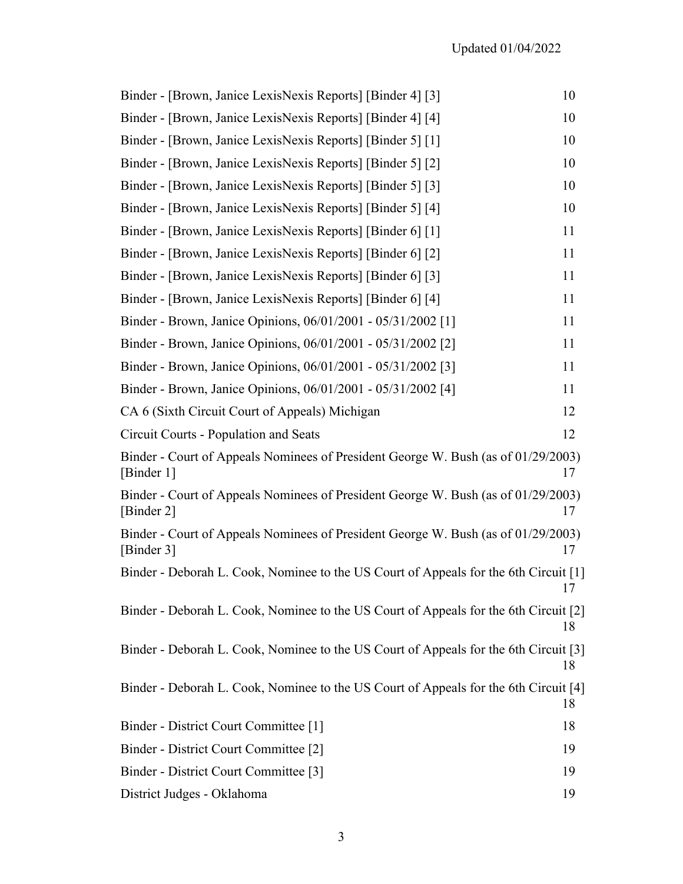| Binder - [Brown, Janice LexisNexis Reports] [Binder 4] [3]                                      | 10 |
|-------------------------------------------------------------------------------------------------|----|
| Binder - [Brown, Janice LexisNexis Reports] [Binder 4] [4]                                      | 10 |
| Binder - [Brown, Janice LexisNexis Reports] [Binder 5] [1]                                      | 10 |
| Binder - [Brown, Janice LexisNexis Reports] [Binder 5] [2]                                      | 10 |
| Binder - [Brown, Janice LexisNexis Reports] [Binder 5] [3]                                      | 10 |
| Binder - [Brown, Janice LexisNexis Reports] [Binder 5] [4]                                      | 10 |
| Binder - [Brown, Janice LexisNexis Reports] [Binder 6] [1]                                      | 11 |
| Binder - [Brown, Janice LexisNexis Reports] [Binder 6] [2]                                      | 11 |
| Binder - [Brown, Janice LexisNexis Reports] [Binder 6] [3]                                      | 11 |
| Binder - [Brown, Janice LexisNexis Reports] [Binder 6] [4]                                      | 11 |
| Binder - Brown, Janice Opinions, 06/01/2001 - 05/31/2002 [1]                                    | 11 |
| Binder - Brown, Janice Opinions, 06/01/2001 - 05/31/2002 [2]                                    | 11 |
| Binder - Brown, Janice Opinions, 06/01/2001 - 05/31/2002 [3]                                    | 11 |
| Binder - Brown, Janice Opinions, 06/01/2001 - 05/31/2002 [4]                                    | 11 |
| CA 6 (Sixth Circuit Court of Appeals) Michigan                                                  | 12 |
| Circuit Courts - Population and Seats                                                           | 12 |
| Binder - Court of Appeals Nominees of President George W. Bush (as of 01/29/2003)<br>[Binder 1] | 17 |
| Binder - Court of Appeals Nominees of President George W. Bush (as of 01/29/2003)<br>[Binder 2] | 17 |
| Binder - Court of Appeals Nominees of President George W. Bush (as of 01/29/2003)<br>[Binder 3] | 17 |
| Binder - Deborah L. Cook, Nominee to the US Court of Appeals for the 6th Circuit [1]            |    |
| Binder - Deborah L. Cook, Nominee to the US Court of Appeals for the 6th Circuit [2]            | 18 |
| Binder - Deborah L. Cook, Nominee to the US Court of Appeals for the 6th Circuit [3]            | 18 |
| Binder - Deborah L. Cook, Nominee to the US Court of Appeals for the 6th Circuit [4]            | 18 |
| Binder - District Court Committee [1]                                                           | 18 |
| Binder - District Court Committee [2]                                                           | 19 |
| Binder - District Court Committee [3]                                                           | 19 |
| District Judges - Oklahoma                                                                      | 19 |
|                                                                                                 |    |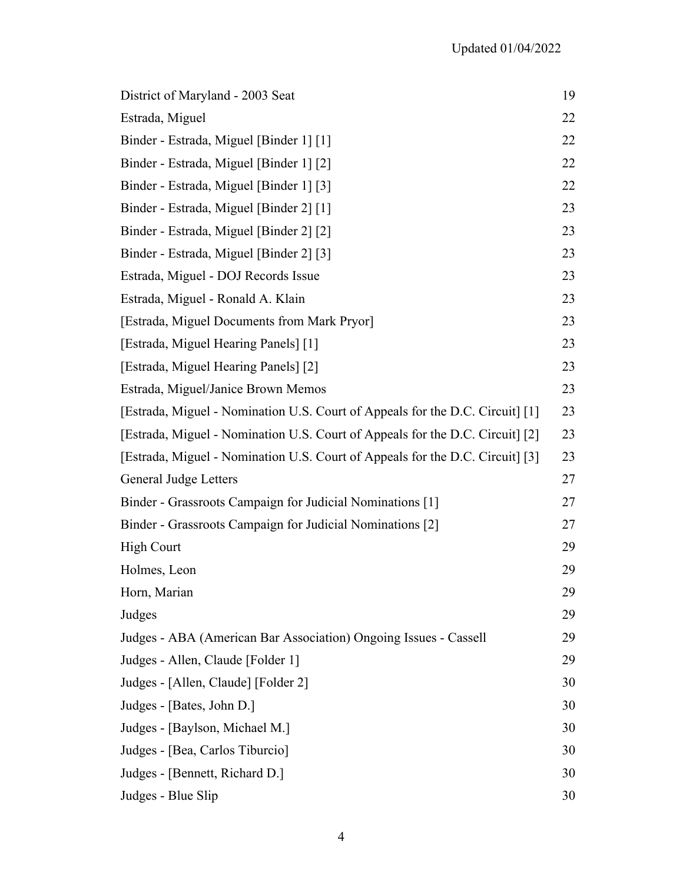| District of Maryland - 2003 Seat                                              | 19 |
|-------------------------------------------------------------------------------|----|
| Estrada, Miguel                                                               | 22 |
| Binder - Estrada, Miguel [Binder 1] [1]                                       | 22 |
| Binder - Estrada, Miguel [Binder 1] [2]                                       | 22 |
| Binder - Estrada, Miguel [Binder 1] [3]                                       | 22 |
| Binder - Estrada, Miguel [Binder 2] [1]                                       | 23 |
| Binder - Estrada, Miguel [Binder 2] [2]                                       | 23 |
| Binder - Estrada, Miguel [Binder 2] [3]                                       | 23 |
| Estrada, Miguel - DOJ Records Issue                                           | 23 |
| Estrada, Miguel - Ronald A. Klain                                             | 23 |
| [Estrada, Miguel Documents from Mark Pryor]                                   | 23 |
| [Estrada, Miguel Hearing Panels] [1]                                          | 23 |
| [Estrada, Miguel Hearing Panels] [2]                                          | 23 |
| Estrada, Miguel/Janice Brown Memos                                            | 23 |
| [Estrada, Miguel - Nomination U.S. Court of Appeals for the D.C. Circuit] [1] | 23 |
| [Estrada, Miguel - Nomination U.S. Court of Appeals for the D.C. Circuit] [2] | 23 |
| [Estrada, Miguel - Nomination U.S. Court of Appeals for the D.C. Circuit] [3] | 23 |
| <b>General Judge Letters</b>                                                  | 27 |
| Binder - Grassroots Campaign for Judicial Nominations [1]                     | 27 |
| Binder - Grassroots Campaign for Judicial Nominations [2]                     | 27 |
| <b>High Court</b>                                                             | 29 |
| Holmes, Leon                                                                  | 29 |
| Horn, Marian                                                                  | 29 |
| Judges                                                                        | 29 |
| Judges - ABA (American Bar Association) Ongoing Issues - Cassell              | 29 |
| Judges - Allen, Claude [Folder 1]                                             | 29 |
| Judges - [Allen, Claude] [Folder 2]                                           | 30 |
| Judges - [Bates, John D.]                                                     | 30 |
| Judges - [Baylson, Michael M.]                                                | 30 |
| Judges - [Bea, Carlos Tiburcio]                                               | 30 |
| Judges - [Bennett, Richard D.]                                                | 30 |
| Judges - Blue Slip                                                            | 30 |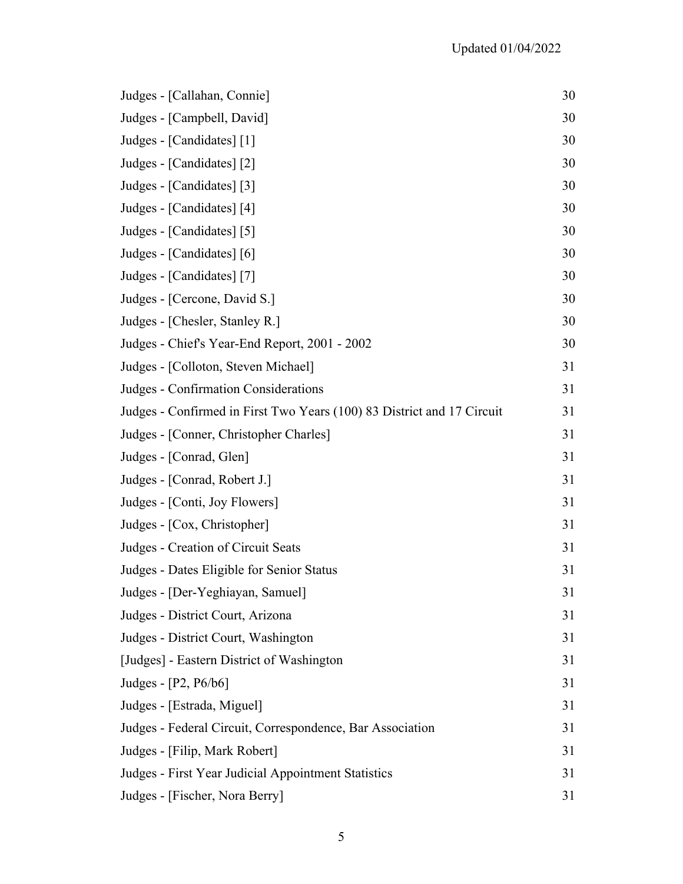| Judges - [Callahan, Connie]                                            | 30 |
|------------------------------------------------------------------------|----|
| Judges - [Campbell, David]                                             | 30 |
| Judges - [Candidates] [1]                                              | 30 |
| Judges - [Candidates] [2]                                              | 30 |
| Judges - [Candidates] [3]                                              | 30 |
| Judges - [Candidates] [4]                                              | 30 |
| Judges - [Candidates] [5]                                              | 30 |
| Judges - [Candidates] [6]                                              | 30 |
| Judges - [Candidates] [7]                                              | 30 |
| Judges - [Cercone, David S.]                                           | 30 |
| Judges - [Chesler, Stanley R.]                                         | 30 |
| Judges - Chief's Year-End Report, 2001 - 2002                          | 30 |
| Judges - [Colloton, Steven Michael]                                    | 31 |
| Judges - Confirmation Considerations                                   | 31 |
| Judges - Confirmed in First Two Years (100) 83 District and 17 Circuit | 31 |
| Judges - [Conner, Christopher Charles]                                 | 31 |
| Judges - [Conrad, Glen]                                                | 31 |
| Judges - [Conrad, Robert J.]                                           | 31 |
| Judges - [Conti, Joy Flowers]                                          | 31 |
| Judges - [Cox, Christopher]                                            | 31 |
| Judges - Creation of Circuit Seats                                     | 31 |
| Judges - Dates Eligible for Senior Status                              | 31 |
| Judges - [Der-Yeghiayan, Samuel]                                       | 31 |
| Judges - District Court, Arizona                                       | 31 |
| Judges - District Court, Washington                                    | 31 |
| [Judges] - Eastern District of Washington                              | 31 |
| Judges - [P2, P6/b6]                                                   | 31 |
| Judges - [Estrada, Miguel]                                             | 31 |
| Judges - Federal Circuit, Correspondence, Bar Association              | 31 |
| Judges - [Filip, Mark Robert]                                          | 31 |
| Judges - First Year Judicial Appointment Statistics                    | 31 |
| Judges - [Fischer, Nora Berry]                                         | 31 |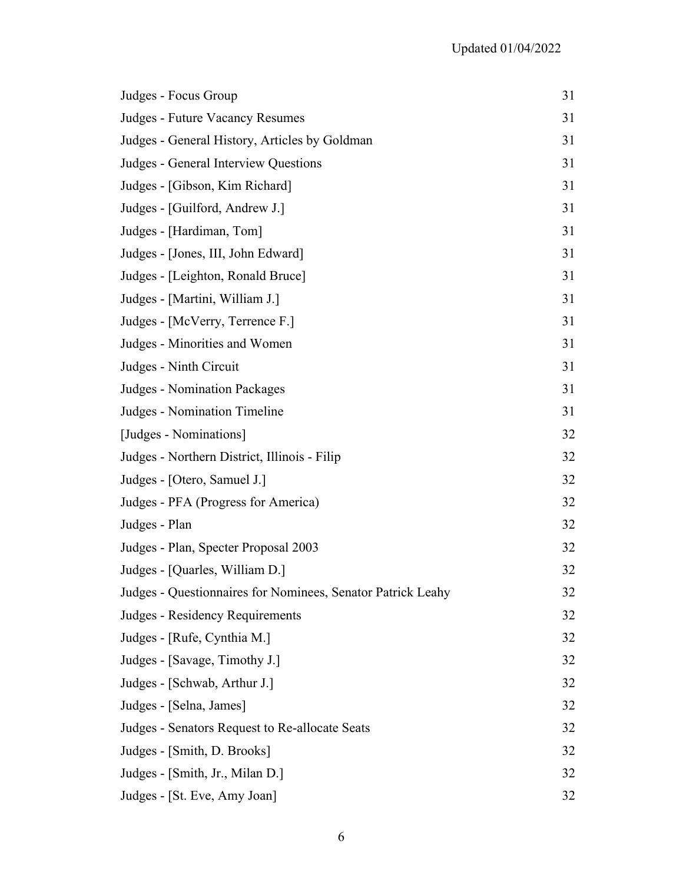| Judges - Focus Group                                        | 31 |
|-------------------------------------------------------------|----|
| Judges - Future Vacancy Resumes                             | 31 |
| Judges - General History, Articles by Goldman               | 31 |
| Judges - General Interview Questions                        | 31 |
| Judges - [Gibson, Kim Richard]                              | 31 |
| Judges - [Guilford, Andrew J.]                              | 31 |
| Judges - [Hardiman, Tom]                                    | 31 |
| Judges - [Jones, III, John Edward]                          | 31 |
| Judges - [Leighton, Ronald Bruce]                           | 31 |
| Judges - [Martini, William J.]                              | 31 |
| Judges - [McVerry, Terrence F.]                             | 31 |
| Judges - Minorities and Women                               | 31 |
| Judges - Ninth Circuit                                      | 31 |
| <b>Judges - Nomination Packages</b>                         | 31 |
| Judges - Nomination Timeline                                | 31 |
| [Judges - Nominations]                                      | 32 |
| Judges - Northern District, Illinois - Filip                | 32 |
| Judges - [Otero, Samuel J.]                                 | 32 |
| Judges - PFA (Progress for America)                         | 32 |
| Judges - Plan                                               | 32 |
| Judges - Plan, Specter Proposal 2003                        | 32 |
| Judges - [Quarles, William D.]                              | 32 |
| Judges - Questionnaires for Nominees, Senator Patrick Leahy | 32 |
| Judges - Residency Requirements                             | 32 |
| Judges - [Rufe, Cynthia M.]                                 | 32 |
| Judges - [Savage, Timothy J.]                               | 32 |
| Judges - [Schwab, Arthur J.]                                | 32 |
| Judges - [Selna, James]                                     | 32 |
| Judges - Senators Request to Re-allocate Seats              | 32 |
| Judges - [Smith, D. Brooks]                                 | 32 |
| Judges - [Smith, Jr., Milan D.]                             | 32 |
| Judges - [St. Eve, Amy Joan]                                | 32 |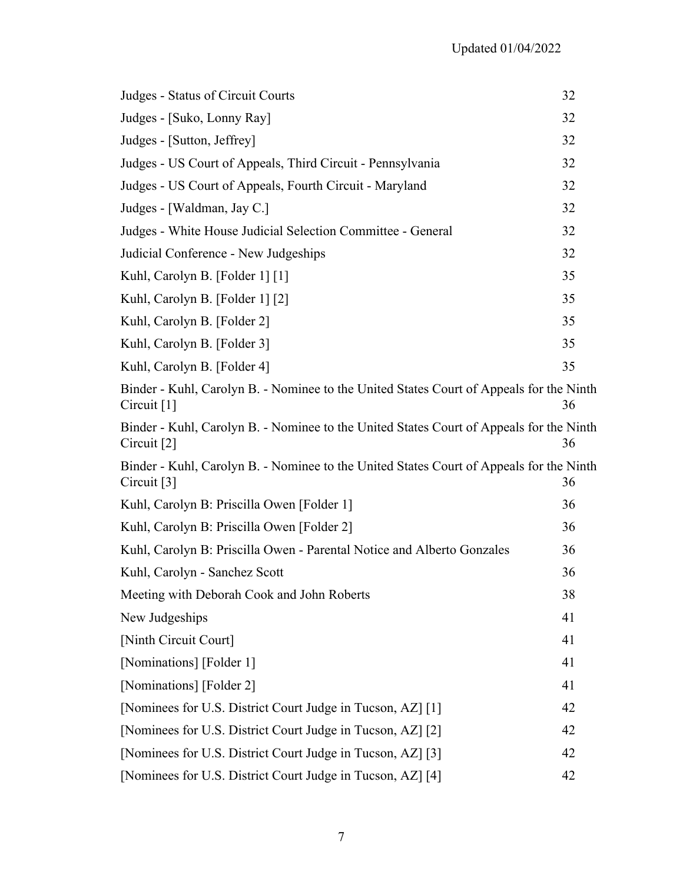| Judges - Status of Circuit Courts                                                                        | 32 |
|----------------------------------------------------------------------------------------------------------|----|
| Judges - [Suko, Lonny Ray]                                                                               | 32 |
| Judges - [Sutton, Jeffrey]                                                                               | 32 |
| Judges - US Court of Appeals, Third Circuit - Pennsylvania                                               | 32 |
| Judges - US Court of Appeals, Fourth Circuit - Maryland                                                  | 32 |
| Judges - [Waldman, Jay C.]                                                                               | 32 |
| Judges - White House Judicial Selection Committee - General                                              | 32 |
| Judicial Conference - New Judgeships                                                                     | 32 |
| Kuhl, Carolyn B. [Folder 1] [1]                                                                          | 35 |
| Kuhl, Carolyn B. [Folder 1] [2]                                                                          | 35 |
| Kuhl, Carolyn B. [Folder 2]                                                                              | 35 |
| Kuhl, Carolyn B. [Folder 3]                                                                              | 35 |
| Kuhl, Carolyn B. [Folder 4]                                                                              | 35 |
| Binder - Kuhl, Carolyn B. - Nominee to the United States Court of Appeals for the Ninth<br>Circuit $[1]$ | 36 |
| Binder - Kuhl, Carolyn B. - Nominee to the United States Court of Appeals for the Ninth<br>Circuit [2]   | 36 |
| Binder - Kuhl, Carolyn B. - Nominee to the United States Court of Appeals for the Ninth<br>Circuit $[3]$ | 36 |
| Kuhl, Carolyn B: Priscilla Owen [Folder 1]                                                               | 36 |
| Kuhl, Carolyn B: Priscilla Owen [Folder 2]                                                               | 36 |
| Kuhl, Carolyn B: Priscilla Owen - Parental Notice and Alberto Gonzales                                   | 36 |
| Kuhl, Carolyn - Sanchez Scott                                                                            | 36 |
| Meeting with Deborah Cook and John Roberts                                                               | 38 |
| New Judgeships                                                                                           | 41 |
| [Ninth Circuit Court]                                                                                    | 41 |
| [Nominations] [Folder 1]                                                                                 | 41 |
| [Nominations] [Folder 2]                                                                                 | 41 |
| [Nominees for U.S. District Court Judge in Tucson, AZ] [1]                                               | 42 |
| [Nominees for U.S. District Court Judge in Tucson, AZ] [2]                                               | 42 |
| [Nominees for U.S. District Court Judge in Tucson, AZ] [3]                                               | 42 |
| [Nominees for U.S. District Court Judge in Tucson, AZ] [4]                                               | 42 |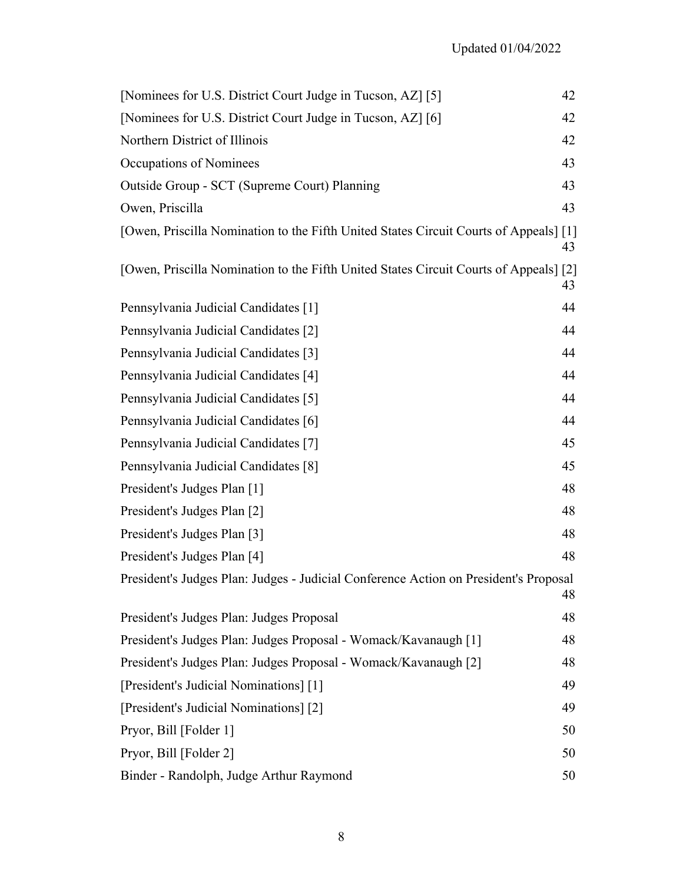| [Nominees for U.S. District Court Judge in Tucson, AZ] [5]                            | 42 |
|---------------------------------------------------------------------------------------|----|
| [Nominees for U.S. District Court Judge in Tucson, AZ] [6]                            | 42 |
| Northern District of Illinois                                                         | 42 |
| Occupations of Nominees                                                               | 43 |
| Outside Group - SCT (Supreme Court) Planning                                          | 43 |
| Owen, Priscilla                                                                       | 43 |
| [Owen, Priscilla Nomination to the Fifth United States Circuit Courts of Appeals] [1] | 43 |
| [Owen, Priscilla Nomination to the Fifth United States Circuit Courts of Appeals] [2] | 43 |
| Pennsylvania Judicial Candidates [1]                                                  | 44 |
| Pennsylvania Judicial Candidates [2]                                                  | 44 |
| Pennsylvania Judicial Candidates [3]                                                  | 44 |
| Pennsylvania Judicial Candidates [4]                                                  | 44 |
| Pennsylvania Judicial Candidates [5]                                                  | 44 |
| Pennsylvania Judicial Candidates [6]                                                  | 44 |
| Pennsylvania Judicial Candidates [7]                                                  | 45 |
| Pennsylvania Judicial Candidates [8]                                                  | 45 |
| President's Judges Plan [1]                                                           | 48 |
| President's Judges Plan [2]                                                           | 48 |
| President's Judges Plan [3]                                                           | 48 |
| President's Judges Plan [4]                                                           | 48 |
| President's Judges Plan: Judges - Judicial Conference Action on President's Proposal  | 48 |
| President's Judges Plan: Judges Proposal                                              | 48 |
| President's Judges Plan: Judges Proposal - Womack/Kavanaugh [1]                       | 48 |
| President's Judges Plan: Judges Proposal - Womack/Kavanaugh [2]                       | 48 |
| [President's Judicial Nominations] [1]                                                | 49 |
| [President's Judicial Nominations] [2]                                                | 49 |
| Pryor, Bill [Folder 1]                                                                | 50 |
| Pryor, Bill [Folder 2]                                                                | 50 |
| Binder - Randolph, Judge Arthur Raymond                                               | 50 |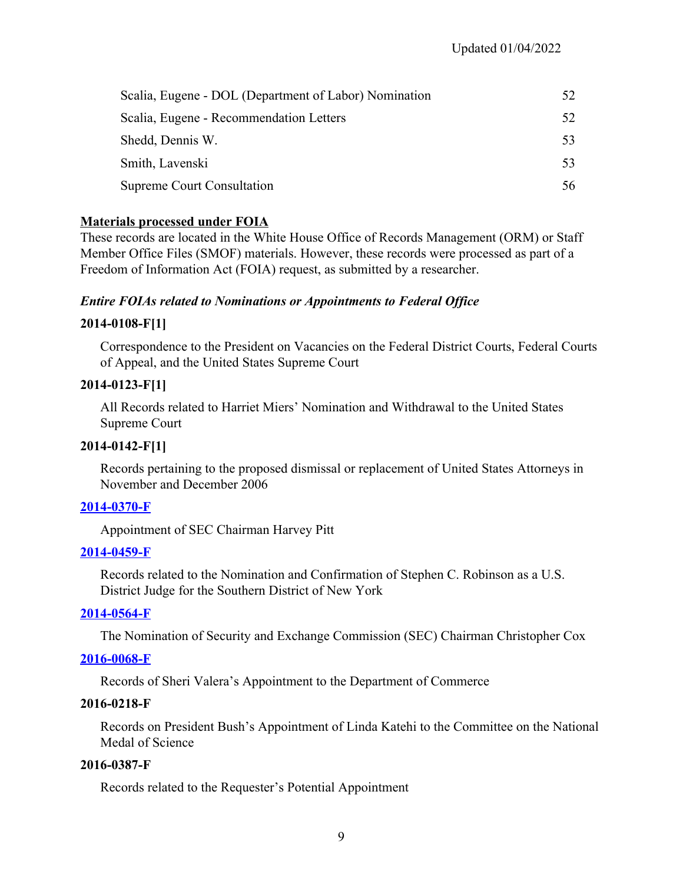| Scalia, Eugene - DOL (Department of Labor) Nomination |     |
|-------------------------------------------------------|-----|
| Scalia, Eugene - Recommendation Letters               | 52  |
| Shedd, Dennis W.                                      | 53  |
| Smith, Lavenski                                       | 53  |
| <b>Supreme Court Consultation</b>                     | 56. |

## **Materials processed under FOIA**

These records are located in the White House Office of Records Management (ORM) or Staff Member Office Files (SMOF) materials. However, these records were processed as part of a Freedom of Information Act (FOIA) request, as submitted by a researcher.

## *Entire FOIAs related to Nominations or Appointments to Federal Office*

## **2014-0108-F[1]**

Correspondence to the President on Vacancies on the Federal District Courts, Federal Courts of Appeal, and the United States Supreme Court

## **2014-0123-F[1]**

All Records related to Harriet Miers' Nomination and Withdrawal to the United States Supreme Court

# **2014-0142-F[1]**

Records pertaining to the proposed dismissal or replacement of United States Attorneys in November and December 2006

#### **[2014-0370-F](https://www.georgewbushlibrary.gov/research/finding-aids/foia-requests/2014-0370-f-appointment-securities-and-exchange-commission-chairman-harvey-pitt)**

Appointment of SEC Chairman Harvey Pitt

#### **[2014-0459-F](https://www.georgewbushlibrary.gov/research/finding-aids/foia-requests/2014-0459-f-records-related-nomination-and-confirmation-stephen-c-robinson-us-district-judge)**

Records related to the Nomination and Confirmation of Stephen C. Robinson as a U.S. District Judge for the Southern District of New York

#### **[2014-0564-F](https://www.georgewbushlibrary.gov/research/finding-aids/foia-requests/2014-0564-f-nomination-securities-and-exchange-commission-chairman-christopher-cox)**

The Nomination of Security and Exchange Commission (SEC) Chairman Christopher Cox

#### **[2016-0068-F](https://www.georgewbushlibrary.gov/research/finding-aids/foia-requests/2016-0068-f-records-sheri-valeras-appointment-department-commerce)**

Records of Sheri Valera's Appointment to the Department of Commerce

#### **2016-0218-F**

Records on President Bush's Appointment of Linda Katehi to the Committee on the National Medal of Science

#### **2016-0387-F**

Records related to the Requester's Potential Appointment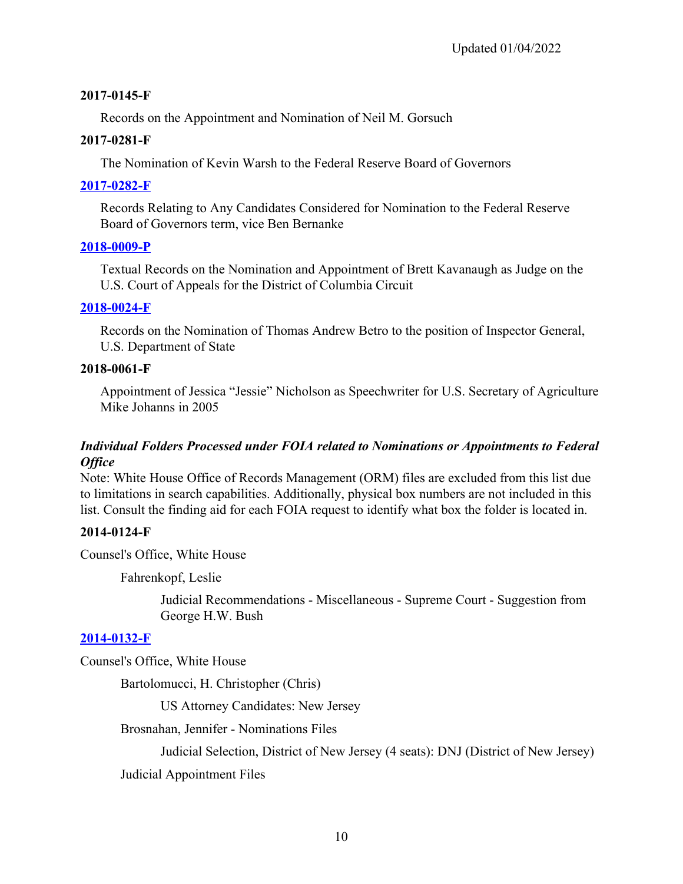## **2017-0145-F**

Records on the Appointment and Nomination of Neil M. Gorsuch

#### **2017-0281-F**

The Nomination of Kevin Warsh to the Federal Reserve Board of Governors

#### **[2017-0282-F](https://www.georgewbushlibrary.gov/research/finding-aids/foia-requests/2017-0282-f-records-relating-any-candidates-considered-nomination-federal-reserve-board-governors)**

Records Relating to Any Candidates Considered for Nomination to the Federal Reserve Board of Governors term, vice Ben Bernanke

#### **[2018-0009-P](https://www.georgewbushlibrary.gov/research/finding-aids/records-brett-m-kavanaugh/2018-0009-p-textual-records-nomination-and-appointment-brett-kavanaugh-judge-us-court-appeals)**

Textual Records on the Nomination and Appointment of Brett Kavanaugh as Judge on the U.S. Court of Appeals for the District of Columbia Circuit

## **[2018-0024-F](https://www.georgewbushlibrary.gov/research/finding-aids/foia-requests/2018-0024-f-records-nomination-thomas-andrew-betro-position-inspector-general-us-department-state)**

Records on the Nomination of Thomas Andrew Betro to the position of Inspector General, U.S. Department of State

#### **2018-0061-F**

Appointment of Jessica "Jessie" Nicholson as Speechwriter for U.S. Secretary of Agriculture Mike Johanns in 2005

# *Individual Folders Processed under FOIA related to Nominations or Appointments to Federal Office*

Note: White House Office of Records Management (ORM) files are excluded from this list due to limitations in search capabilities. Additionally, physical box numbers are not included in this list. Consult the finding aid for each FOIA request to identify what box the folder is located in.

# **2014-0124-F**

Counsel's Office, White House

Fahrenkopf, Leslie

Judicial Recommendations - Miscellaneous - Supreme Court - Suggestion from George H.W. Bush

# **[2014-0132-F](https://www.georgewbushlibrary.gov/research/finding-aids/foia-requests/2014-0132-f-records-christopher-chris-christie)**

Counsel's Office, White House

Bartolomucci, H. Christopher (Chris)

US Attorney Candidates: New Jersey

Brosnahan, Jennifer - Nominations Files

Judicial Selection, District of New Jersey (4 seats): DNJ (District of New Jersey)

Judicial Appointment Files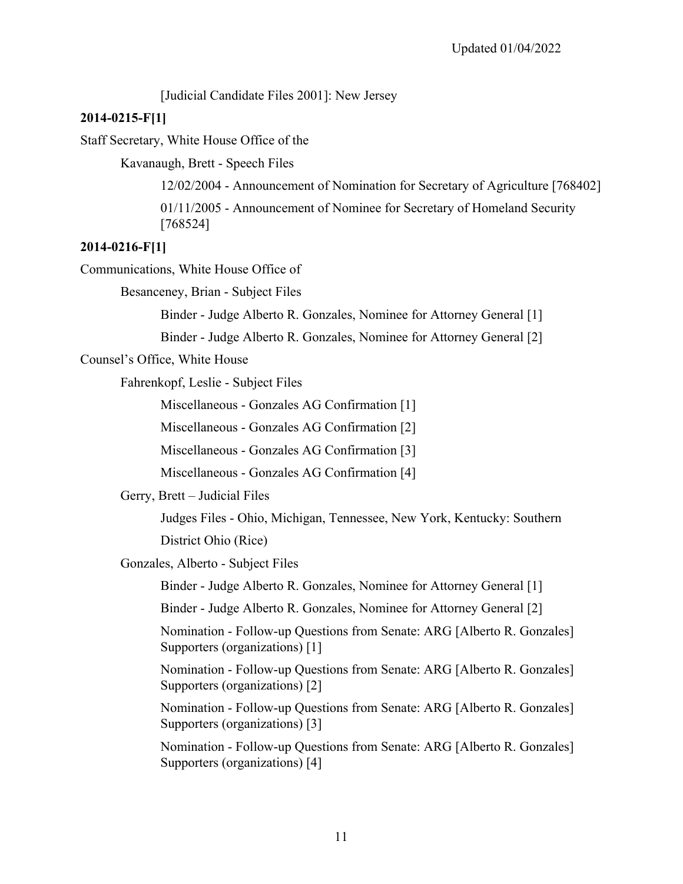[Judicial Candidate Files 2001]: New Jersey

#### **2014-0215-F[1]**

Staff Secretary, White House Office of the

Kavanaugh, Brett - Speech Files

12/02/2004 - Announcement of Nomination for Secretary of Agriculture [768402]

01/11/2005 - Announcement of Nominee for Secretary of Homeland Security [768524]

#### **2014-0216-F[1]**

Communications, White House Office of

Besanceney, Brian - Subject Files

Binder - Judge Alberto R. Gonzales, Nominee for Attorney General [1]

Binder - Judge Alberto R. Gonzales, Nominee for Attorney General [2]

Counsel's Office, White House

Fahrenkopf, Leslie - Subject Files

Miscellaneous - Gonzales AG Confirmation [1]

Miscellaneous - Gonzales AG Confirmation [2]

Miscellaneous - Gonzales AG Confirmation [3]

Miscellaneous - Gonzales AG Confirmation [4]

Gerry, Brett – Judicial Files

Judges Files - Ohio, Michigan, Tennessee, New York, Kentucky: Southern District Ohio (Rice)

Gonzales, Alberto - Subject Files

Binder - Judge Alberto R. Gonzales, Nominee for Attorney General [1]

Binder - Judge Alberto R. Gonzales, Nominee for Attorney General [2]

Nomination - Follow-up Questions from Senate: ARG [Alberto R. Gonzales] Supporters (organizations) [1]

Nomination - Follow-up Questions from Senate: ARG [Alberto R. Gonzales] Supporters (organizations) [2]

Nomination - Follow-up Questions from Senate: ARG [Alberto R. Gonzales] Supporters (organizations) [3]

Nomination - Follow-up Questions from Senate: ARG [Alberto R. Gonzales] Supporters (organizations) [4]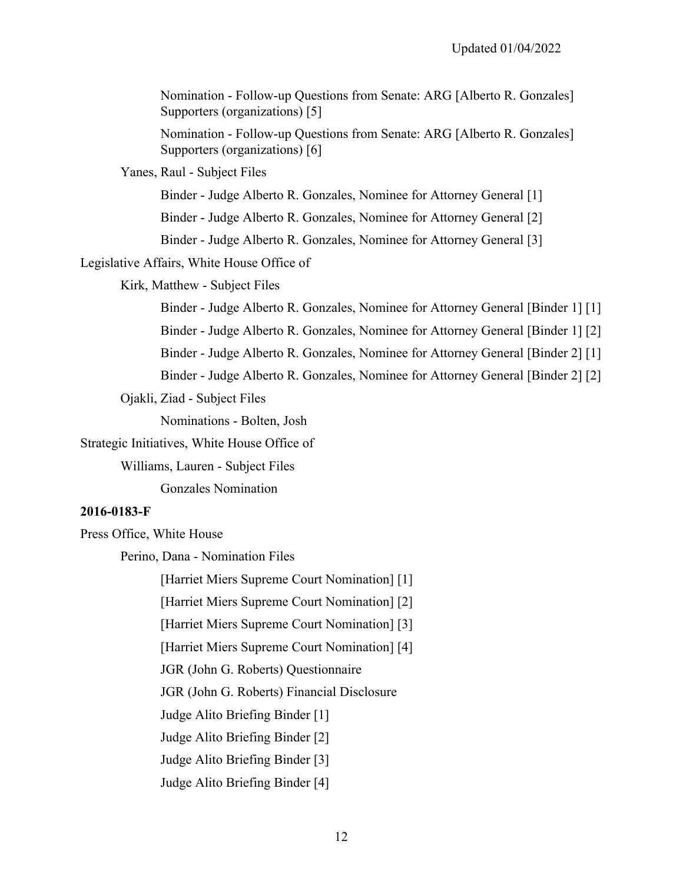Nomination - Follow-up Questions from Senate: ARG [Alberto R. Gonzales] Supporters (organizations) [5]

Nomination - Follow-up Questions from Senate: ARG [Alberto R. Gonzales] Supporters (organizations) [6]

Yanes, Raul - Subject Files

Binder - Judge Alberto R. Gonzales, Nominee for Attorney General [1]

Binder - Judge Alberto R. Gonzales, Nominee for Attorney General [2]

Binder - Judge Alberto R. Gonzales, Nominee for Attorney General [3]

Legislative Affairs, White House Office of

Kirk, Matthew - Subject Files

Binder - Judge Alberto R. Gonzales, Nominee for Attorney General [Binder 1] [1] Binder - Judge Alberto R. Gonzales, Nominee for Attorney General [Binder 1] [2] Binder - Judge Alberto R. Gonzales, Nominee for Attorney General [Binder 2] [1] Binder - Judge Alberto R. Gonzales, Nominee for Attorney General [Binder 2] [2]

Ojakli, Ziad - Subject Files

Nominations - Bolten, Josh

Strategic Initiatives, White House Office of

Williams, Lauren - Subject Files

Gonzales Nomination

#### **2016-0183-F**

Press Office, White House

Perino, Dana - Nomination Files

[Harriet Miers Supreme Court Nomination] [1]

[Harriet Miers Supreme Court Nomination] [2]

[Harriet Miers Supreme Court Nomination] [3]

[Harriet Miers Supreme Court Nomination] [4]

JGR (John G. Roberts) Questionnaire

JGR (John G. Roberts) Financial Disclosure

Judge Alito Briefing Binder [1]

Judge Alito Briefing Binder [2]

Judge Alito Briefing Binder [3]

Judge Alito Briefing Binder [4]